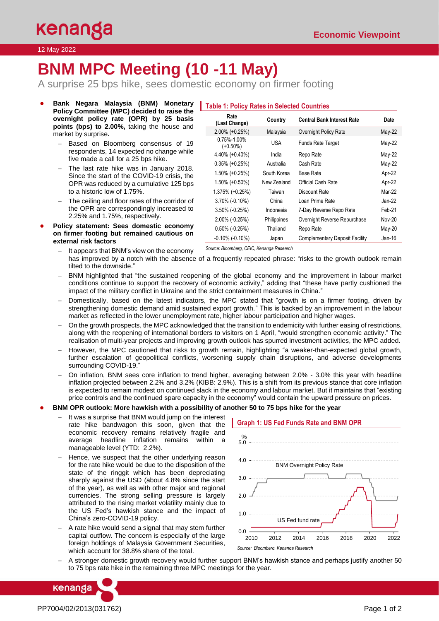#### 12 May 2022

# **BNM MPC Meeting (10 -11 May)**

A surprise 25 bps hike, sees domestic economy on firmer footing

- **Bank Negara Malaysia (BNM) Monetary Policy Committee (MPC) decided to raise the overnight policy rate (OPR) by 25 basis points (bps) to 2.00%,** taking the house and market by surprise**.**
	- − Based on Bloomberg consensus of 19 respondents, 14 expected no change while five made a call for a 25 bps hike.
	- The last rate hike was in January 2018. Since the start of the COVID-19 crisis, the OPR was reduced by a cumulative 125 bps to a historic low of 1.75%.
	- The ceiling and floor rates of the corridor of the OPR are correspondingly increased to 2.25% and 1.75%, respectively.

It appears that BNM's view on the economy

● **Policy statement: Sees domestic economy on firmer footing but remained cautious on external risk factors** 

# **Table 1: Policy Rates in Selected Countries**

| Rate<br>(Last Change)            | Country     | <b>Central Bank Interest Rate</b>     | Date          |
|----------------------------------|-------------|---------------------------------------|---------------|
| $2.00\%$ (+0.25%)                | Malaysia    | Overnight Policy Rate                 | May-22        |
| $0.75\% - 1.00\%$<br>$(+0.50\%)$ | USA         | <b>Funds Rate Target</b>              | May-22        |
| 4.40% (+0.40%)                   | India       | Repo Rate                             | May-22        |
| $0.35\%$ (+0.25%)                | Australia   | Cash Rate                             | $May-22$      |
| 1.50% (+0.25%)                   | South Korea | <b>Base Rate</b>                      | Apr-22        |
| 1.50% (+0.50%)                   | New Zealand | Official Cash Rate                    | Apr-22        |
| 1.375% (+0.25%)                  | Taiwan      | Discount Rate                         | Mar-22        |
| $3.70\%$ (-0.10%)                | China       | Loan Prime Rate                       | Jan-22        |
| $3.50\%$ (-0.25%)                | Indonesia   | 7-Day Reverse Repo Rate               | Feb-21        |
| 2.00% (-0.25%)                   | Philippines | Overnight Reverse Repurchase          | <b>Nov-20</b> |
| $0.50\%$ (-0.25%)                | Thailand    | Repo Rate                             | May-20        |
| $-0.10\%$ ( $-0.10\%$ )          | Japan       | <b>Complementary Deposit Facility</b> | $Jan-16$      |

- *Source: Bloomberg, CEIC, Kenanga Research*
- has improved by a notch with the absence of a frequently repeated phrase: "risks to the growth outlook remain tilted to the downside."
- − BNM highlighted that "the sustained reopening of the global economy and the improvement in labour market conditions continue to support the recovery of economic activity," adding that "these have partly cushioned the impact of the military conflict in Ukraine and the strict containment measures in China."
- − Domestically, based on the latest indicators, the MPC stated that "growth is on a firmer footing, driven by strengthening domestic demand amid sustained export growth." This is backed by an improvement in the labour market as reflected in the lower unemployment rate, higher labour participation and higher wages.
- On the growth prospects, the MPC acknowledged that the transition to endemicity with further easing of restrictions, along with the reopening of international borders to visitors on 1 April, "would strengthen economic activity." The realisation of multi-year projects and improving growth outlook has spurred investment activities, the MPC added.
- − However, the MPC cautioned that risks to growth remain, highlighting "a weaker-than-expected global growth, further escalation of geopolitical conflicts, worsening supply chain disruptions, and adverse developments surrounding COVID-19."
- − On inflation, BNM sees core inflation to trend higher, averaging between 2.0% 3.0% this year with headline inflation projected between 2.2% and 3.2% (KIBB: 2.9%). This is a shift from its previous stance that core inflation is expected to remain modest on continued slack in the economy and labour market. But it maintains that "existing price controls and the continued spare capacity in the economy" would contain the upward pressure on prices.

## ● **BNM OPR outlook: More hawkish with a possibility of another 50 to 75 bps hike for the year**

- It was a surprise that BNM would jump on the interest rate hike bandwagon this soon, given that the economic recovery remains relatively fragile and average headline inflation remains within a manageable level (YTD: 2.2%).
- Hence, we suspect that the other underlying reason for the rate hike would be due to the disposition of the state of the ringgit which has been depreciating sharply against the USD (about 4.8% since the start of the year), as well as with other major and regional currencies. The strong selling pressure is largely attributed to the rising market volatility mainly due to the US Fed's hawkish stance and the impact of China's zero-COVID-19 policy.
- A rate hike would send a signal that may stem further capital outflow. The concern is especially of the large foreign holdings of Malaysia Government Securities, which account for 38.8% share of the total.





− A stronger domestic growth recovery would further support BNM's hawkish stance and perhaps justify another 50 to 75 bps rate hike in the remaining three MPC meetings for the year.



kenanga

#### **Graph 1: US Fed Funds Rate and BNM OPR**